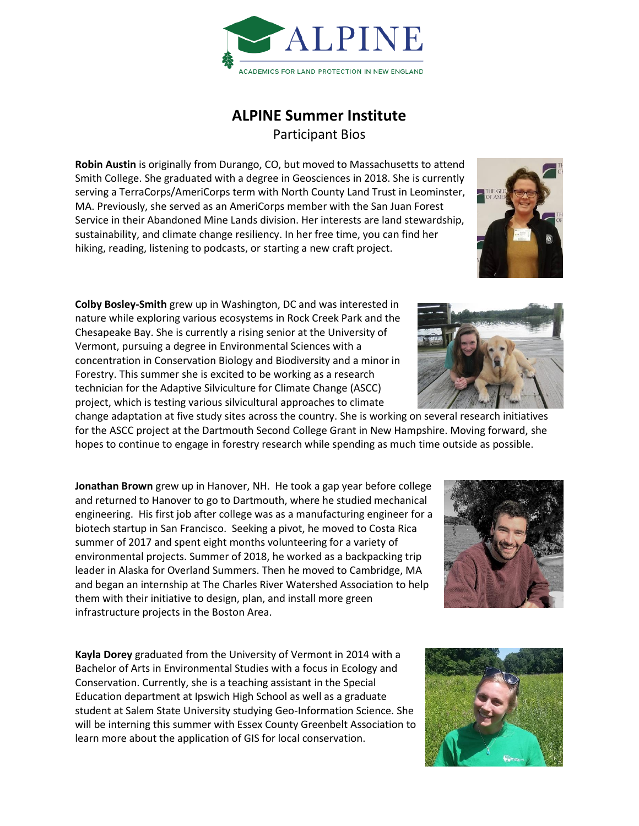

## **ALPINE Summer Institute** Participant Bios

**Robin Austin** is originally from Durango, CO, but moved to Massachusetts to attend Smith College. She graduated with a degree in Geosciences in 2018. She is currently serving a TerraCorps/AmeriCorps term with North County Land Trust in Leominster, MA. Previously, she served as an AmeriCorps member with the San Juan Forest Service in their Abandoned Mine Lands division. Her interests are land stewardship, sustainability, and climate change resiliency. In her free time, you can find her hiking, reading, listening to podcasts, or starting a new craft project.

**Colby Bosley-Smith** grew up in Washington, DC and was interested in nature while exploring various ecosystems in Rock Creek Park and the Chesapeake Bay. She is currently a rising senior at the University of Vermont, pursuing a degree in Environmental Sciences with a concentration in Conservation Biology and Biodiversity and a minor in Forestry. This summer she is excited to be working as a research technician for the Adaptive Silviculture for Climate Change (ASCC) project, which is testing various silvicultural approaches to climate

change adaptation at five study sites across the country. She is working on several research initiatives for the ASCC project at the Dartmouth Second College Grant in New Hampshire. Moving forward, she hopes to continue to engage in forestry research while spending as much time outside as possible.

**Jonathan Brown** grew up in Hanover, NH. He took a gap year before college and returned to Hanover to go to Dartmouth, where he studied mechanical engineering. His first job after college was as a manufacturing engineer for a biotech startup in San Francisco. Seeking a pivot, he moved to Costa Rica summer of 2017 and spent eight months volunteering for a variety of environmental projects. Summer of 2018, he worked as a backpacking trip leader in Alaska for Overland Summers. Then he moved to Cambridge, MA and began an internship at The Charles River Watershed Association to help them with their initiative to design, plan, and install more green infrastructure projects in the Boston Area.

**Kayla Dorey** graduated from the University of Vermont in 2014 with a Bachelor of Arts in Environmental Studies with a focus in Ecology and Conservation. Currently, she is a teaching assistant in the Special Education department at Ipswich High School as well as a graduate student at Salem State University studying Geo-Information Science. She will be interning this summer with Essex County Greenbelt Association to learn more about the application of GIS for local conservation.







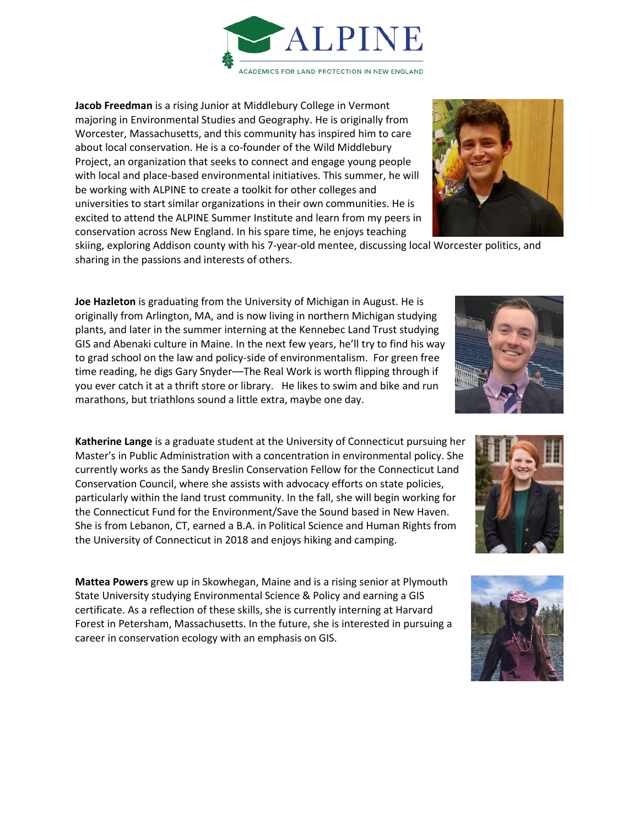**Jacob Freedman** is a rising Junior at Middlebury College in Vermont majoring in Environmental Studies and Geography. He is originally from Worcester, Massachusetts, and this community has inspired him to care about local conservation. He is a co-founder of the Wild Middlebury Project, an organization that seeks to connect and engage young people with local and place-based environmental initiatives. This summer, he will be working with ALPINE to create a toolkit for other colleges and universities to start similar organizations in their own communities. He is excited to attend the ALPINE Summer Institute and learn from my peers in conservation across New England. In his spare time, he enjoys teaching

skiing, exploring Addison county with his 7-year-old mentee, discussing local Worcester politics, and sharing in the passions and interests of others.

**Joe Hazleton** is graduating from the University of Michigan in August. He is originally from Arlington, MA, and is now living in northern Michigan studying plants, and later in the summer interning at the Kennebec Land Trust studying GIS and Abenaki culture in Maine. In the next few years, he'll try to find his way to grad school on the law and policy-side of environmentalism. For green free time reading, he digs Gary Snyder--The Real Work is worth flipping through if you ever catch it at a thrift store or library. He likes to swim and bike and run marathons, but triathlons sound a little extra, maybe one day.

**Katherine Lange** is a graduate student at the University of Connecticut pursuing her Master's in Public Administration with a concentration in environmental policy. She currently works as the Sandy Breslin Conservation Fellow for the Connecticut Land Conservation Council, where she assists with advocacy efforts on state policies, particularly within the land trust community. In the fall, she will begin working for the Connecticut Fund for the Environment/Save the Sound based in New Haven. She is from Lebanon, CT, earned a B.A. in Political Science and Human Rights from the University of Connecticut in 2018 and enjoys hiking and camping.

**Mattea Powers** grew up in Skowhegan, Maine and is a rising senior at Plymouth State University studying Environmental Science & Policy and earning a GIS certificate. As a reflection of these skills, she is currently interning at Harvard Forest in Petersham, Massachusetts. In the future, she is interested in pursuing a career in conservation ecology with an emphasis on GIS.